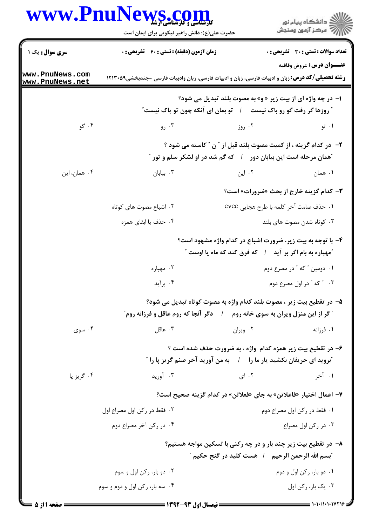## www.PnuNews.col

ر<br>اللاد دانشگاه پیام نور<br>۱۱۸ مرکز آزمون وسنجش حضرت علی(ع): دانش راهبر نیکویی برای ایمان است **تعداد سوالات : تستي : 30 ٪ تشريحي : 0** سری سوال : یک ۱ **زمان آزمون (دقیقه) : تستی : ۶۰ ٪ تشریحی: 0** عنــوان درس: عروض وقافيه www.PnuNews.com **رشته تحصیلی/کد درس:** زبان و ادبیات فارسی، زبان و ادبیات فارسی، زبان وادبیات فارسی -چندبخشی1۲۱۳۰۵۹ www.PnuNews.net ا- در چه واژه ای از بیت زیر « و» به مصوت بلند تبدیل می شود؟ **" روزها گر رفت گو رو باک نیست گ**ه تو بمان ای آنکه چون تو پاک نیست *"* ۰۴ گو ۰۲ روز ۰۳ رو $\cdot$ ۰۱ تو ۲- در کدام گزینه ، از کمیت مصوت بلند قبل از ″ن ″ کاسته می شود ؟ "همان مرحله است این بیابان دور / که گم شد در او لشکر سلم و تور " ۰۴ همان، این ۰۳ بيابان  $\cdot$ ۰۲ این ۰۱ همان **٣**- كدام گزينه خارج از بحث «ضرورات» است؟ ۰۱ حذف صامت آخر کلمه با طرح هجایی CVCC ۰۲ اشباع مصوت های کوتاه ۰۴ حذف یا ابقای همزه ۰۳ کوتاه شدن مصوت های بلند ۴- با توجه به بیت زیر، ضرورت اشباع در کدام واژه مشهود است؟ "مهياره به بام اگر بر آيد / كه فرق كند كه ماه يا اوست " ۰۲ مهپاره ۰۱ دومین " که " در مصرع دوم ۰۴ برآید ۴. " که " در اول مصرع دوم ۵— در تقطيع بيت زير ، مصوت بلند كدام واژه به مصوت كوتاه تبديل مي شود؟ " گر از این منزل ویران به سوی خانه روم گ / دگر آنجا که روم عاقل و فرزانه روم" ۰۴ سوی ۰۳ عاقل ۰۲ ویران ۰۱ فرزانه ۶- در تقطیع بیت زیر همزه کدام واژه ، به ضرورت حذف شده است ؟ <sup>"</sup>بروید ای حریفان بکشید یار ما را په ای من آورید آخر صنم گریز یا را " ۰۴ گريز پا ۰۳ آورید  $|.\cdot|$ ۱. آخر **٧**– اعمال اختيار «فاعلاتن» به جاي «فعلاتن» در كدام گزينه صحيح است؟ ٢. فقط در ركن اول مصراع اول ۰۱ فقط در رکن اول مصراع دوم ۰۴ در رکن آخر مصراع دوم ۰۳ در رکن اول مصراع ۸– در تقطیع بیت زیر چند بار و در چه رکنی با تسکین مواجه هستیم؟ <sup>"</sup>بسم الله الرحمن الرحيم / هست كليد در گنج حكيم " ۰۱ دو بار، رکن اول و دوم ۰۲ دو بار، رکن اول و سوم ۰۳ پک بار، <sub>د</sub>کن اول ۰۴ سه بار، رکن اول و دوم و سوم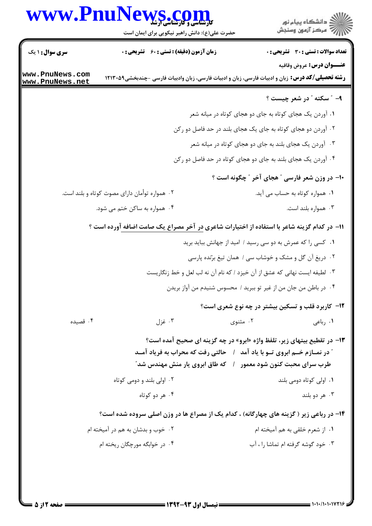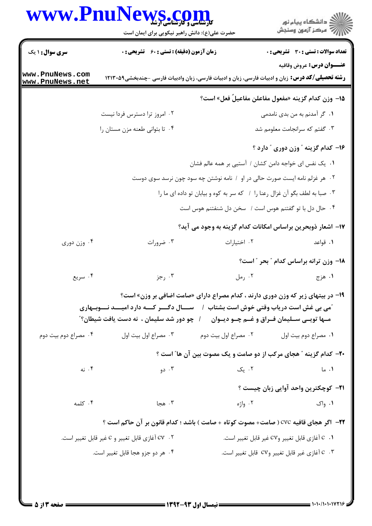|                                    | WWW.PnuNews.com<br>حضرت علی(ع): دانش راهبر نیکویی برای ایمان است                                        |                                                                            | ڪ دانشڪاه پيام نور<br>//> مرڪز آزمون وسنڊش                                      |
|------------------------------------|---------------------------------------------------------------------------------------------------------|----------------------------------------------------------------------------|---------------------------------------------------------------------------------|
| <b>سری سوال : ۱ یک</b>             | زمان آزمون (دقیقه) : تستی : ۶۰٪ تشریحی : ۰                                                              |                                                                            | <b>تعداد سوالات : تستی : 30 ٪ تشریحی : 0</b>                                    |
| www.PnuNews.com<br>www.PnuNews.net | <b>رشته تحصیلی/کد درس:</b> زبان و ادبیات فارسی، زبان و ادبیات فارسی، زبان وادبیات فارسی -چندبخشی۱۲۱۳۰۵۹ |                                                                            | <b>عنـــوان درس:</b> عروض وقافيه                                                |
|                                    |                                                                                                         |                                                                            | 1۵– وزن کدام گزینه «مفعول مفاعلن مفاعیلٌ فعل» است؟                              |
|                                    | ۰۲ امروز ترا دسترس فردا نیست                                                                            |                                                                            | ۰۱ گر آمدنم به من بدی نامدمی                                                    |
|                                    | ۰۴ تا بتواني طعنه مزن مستان را                                                                          |                                                                            | ۰۳ گفتم که سرانجامت معلومم شد                                                   |
|                                    |                                                                                                         |                                                                            | ۱۶- کدام گزینه "وزن دوری " دارد ؟                                               |
|                                    |                                                                                                         | ۰۱ یک نفس ای خواجه دامن کشان / آستیی بر همه عالم فشان                      |                                                                                 |
|                                    |                                                                                                         | ۰۲ هر غزلم نامه ایست صورت حالی در او ۱ نامه نوشتن چه سود چون نرسد سوی دوست |                                                                                 |
|                                    |                                                                                                         | ۰۳ صبا به لطف بگو آن غزال رعنا را ۱ که سر به کوه و بیابان تو داده ای ما را |                                                                                 |
|                                    |                                                                                                         | ۰۴ حال دل با تو گفتنم هوس است / سخن دل شنفتنم هوس است                      |                                                                                 |
|                                    |                                                                                                         |                                                                            | 17- اشعار ذوبحرين براساس امكانات كدام گزينه به وجود مي آيد؟                     |
| ۰۴ وزن دوری                        | ۰۳ ضرورات                                                                                               | ٠٢ اختيارات                                                                | ۰۱ قواعد                                                                        |
|                                    |                                                                                                         |                                                                            | 18- وزن ترانه براساس كدام " بحر " است؟                                          |
| ۰۴ سريع                            | ۰۳ رجز                                                                                                  | ۰۲ رمل                                                                     | ۱. هزج                                                                          |
|                                    |                                                                                                         |                                                                            | ۱۹- در بیتهای زیر که وزن دوری دارند ، کدام مصراع دارای «صامت اضافی بر وزن» است؟ |
|                                    | <b>"می بی غش است دریاب وقتی خوش است بشتاب ۱ سسسال دگـــر کـــه دارد امیــــد نـــوبــهاری</b>           |                                                                            |                                                                                 |
|                                    | /   چو دور شد سلیمان ،  نه دست یافت شیطان؟"                                                             |                                                                            | مـها تويــي ســليمان فــراق و غــم چــو ديــوان                                 |
| ۰۴ مصراع دوم بيت دوم               | ۰۳ مصراع اول بيت اول                                                                                    | ۰۲ مصراع اول بیت دوم                                                       | ۰۱ مصراع دوم بيت اول                                                            |
|                                    |                                                                                                         |                                                                            | ۲۰- کدام گزینه " هجای مرکب از دو صامت و یک مصوت بین آن ها" است ؟                |
| ۰۴ نه                              | ۰۳ دو                                                                                                   |                                                                            | ۰۲ یک<br>۰۱ ما                                                                  |
|                                    |                                                                                                         |                                                                            | <b>۲۱</b> – کوچکترین واحد آوایی زبان چیست ؟                                     |
| ۰۴ کلمه                            | ۰۳ هجا                                                                                                  | ۲. واژه                                                                    | ۰۱ واک                                                                          |
|                                    | 22-  اگر هجای قافیه CVC ( صامت+ مصوت کوتاه + صامت ) باشد ؛ کدام قانون بر آن حاکم است ؟                  |                                                                            |                                                                                 |
|                                    | ۲ .   Cv آغازي قابل تغيير و C غير قابل تغيير است.                                                       |                                                                            | C . 1 أغازي قابل تغيير وCV غير قابل تغيير است.                                  |
|                                    | ۰۴ هر دو جزو هجا قابل تغيير است.                                                                        |                                                                            | ° . ° آغازي غير قابل تغيير وCV قابل تغيير است.                                  |

 $= 1.1 - 11.1111115$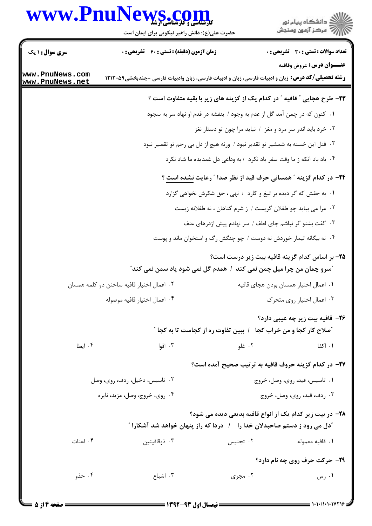## www.PnuNews.com



حضرت علی(ع): دانش راهبر نیکویی برای ایمان است

| <b>سری سوال :</b> ۱ یک             | <b>زمان آزمون (دقیقه) : تستی : 60 ٪ تشریحی : 0</b>                                                      |                                                                                        | <b>تعداد سوالات : تستي : 30 ٪ تشريحي : 0</b> |
|------------------------------------|---------------------------------------------------------------------------------------------------------|----------------------------------------------------------------------------------------|----------------------------------------------|
|                                    |                                                                                                         |                                                                                        | عنــوان درس: عروض وقافيه                     |
| www.PnuNews.com<br>www.PnuNews.net | <b>رشته تحصیلی/کد درس:</b> زبان و ادبیات فارسی، زبان و ادبیات فارسی، زبان وادبیات فارسی -چندبخشی۱۲۱۳۰۵۹ |                                                                                        |                                              |
|                                    |                                                                                                         | ۲۳- طرح هجایی ″ قافیه ″ در کدام یک از گزینه های زیر با بقیه متفاوت است ؟               |                                              |
|                                    |                                                                                                         | ۰۱ کنون که در چمن آمد گل از عدم به وجود / بنفشه در قدم او نهاد سر به سجود              |                                              |
|                                    |                                                                                                         | ۰۲ خرد باید اندر سر مرد و مغز / نباید مرا چون تو دستار نغز                             |                                              |
|                                    |                                                                                                         | ۰۳ قتل این خسته به شمشیر تو تقدیر نبود / ورنه هیچ از دل بی رحم تو تقصیر نبود           |                                              |
|                                    |                                                                                                         | ۰۴ یاد باد آنکه ز ما وقت سفر یاد نکرد ۱ به وداعی دل غمدیده ما شاد نکرد                 |                                              |
|                                    |                                                                                                         | <b>۳۴</b> - در کدام گزینه <b>" همسانی حرف قید از نظر صدا " رعایت</b> <u>نشده است</u> ؟ |                                              |
|                                    |                                                                                                         | ۰۱ به حقش که گر دیده بر تیغ و کارد / نهی ، حق شکرش نخواهی گزارد                        |                                              |
|                                    |                                                                                                         | ۰۲ مرا می بباید چو طفلان گریست / ز شرم گناهان ، نه طفلانه زیست                         |                                              |
|                                    |                                                                                                         | ۰۳ گفت بشنو گر نباشم جای لطف / سر نهادم پیش اژدرهای عنف                                |                                              |
|                                    |                                                                                                         | ۰۴ نه بیگانه تیمار خوردش نه دوست / چو چنگش رگ و استخوان ماند و پوست                    |                                              |
|                                    |                                                                                                         | ۲۵– بر اساس کدام گزینه قافیه بیت زیر درست است؟                                         |                                              |
|                                    | <b>"سرو چمان من چرا میل چمن نمی کند ۱ همدم گل نمی شود یاد سمن نمی کند</b> "                             |                                                                                        |                                              |
|                                    | ۰۲ اعمال اختیار قافیه ساختن دو کلمه همسان                                                               | ٠١ اعمال اختيار همسان بودن هجاى قافيه                                                  |                                              |
|                                    | ۰۴ اعمال اختيار قافيه موصوله                                                                            |                                                                                        | ۰۳ اعمال اختیار روی متحرک                    |
|                                    |                                                                                                         |                                                                                        | ۲۶– قافیه بیت زیر چه عیبی دارد؟              |
|                                    |                                                                                                         | <i>"م</i> لاح کار کجا و من خراب کجا   /  ببین تفاوت ره از کجاست تا به کجا "            |                                              |
| ۰۴ ایطا                            | ۰۳ اقوا                                                                                                 | ۰۲ غلو                                                                                 | ۰۱ اکفا                                      |
|                                    |                                                                                                         | ٢٧- در كدام گزينه حروف قافيه به ترتيب صحيح آمده است؟                                   |                                              |
|                                    | ۰۲ تاسیس، دخیل، ردف، روی، وصل                                                                           |                                                                                        | ۰۱ تاسیس، قید، روی، وصل، خروج                |
|                                    | ۰۴ روي، خروج، وصل، مزيد، نايره                                                                          |                                                                                        | ۰۳ ردف، قید، روی، وصل، خروج                  |
|                                    |                                                                                                         | <b>۲۸</b> - در بیت زیر کدام یک از انواع قافیه بدیعی دیده می شود؟                       |                                              |
|                                    | <b>ًدل می رود ز دستم صاحبدلان خدا را په از دردا که راز پنهان خواهد شد آشکارا</b> آ                      |                                                                                        |                                              |
| ۰۴ اعنات                           | ۰۳ ذوقافیتین                                                                                            | ۰۲ تجنیس                                                                               | ٠١ قافيه معموله                              |
|                                    |                                                                                                         |                                                                                        | <b>۲۹</b> - حرکت حرف روی چه نام دارد؟        |
| ۰۴ حذو                             | ۰۳ اشباع                                                                                                | ۰۲ مجری                                                                                | ۰۱ رس                                        |
|                                    |                                                                                                         |                                                                                        |                                              |